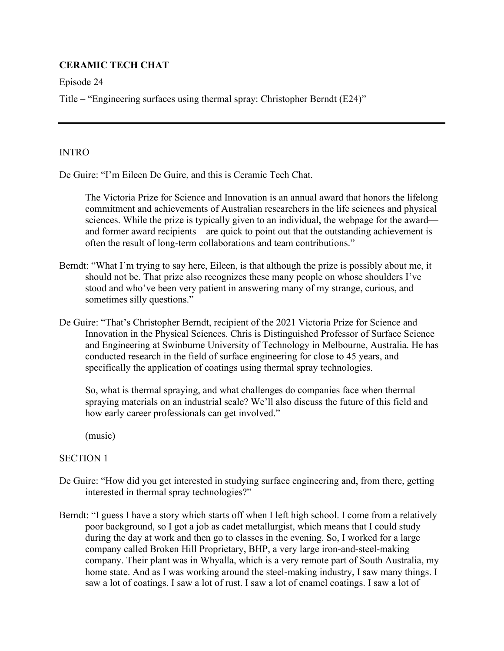# **CERAMIC TECH CHAT**

Episode 24

Title – "Engineering surfaces using thermal spray: Christopher Berndt (E24)"

### INTRO

De Guire: "I'm Eileen De Guire, and this is Ceramic Tech Chat.

 The Victoria Prize for Science and Innovation is an annual award that honors the lifelong commitment and achievements of Australian researchers in the life sciences and physical sciences. While the prize is typically given to an individual, the webpage for the award and former award recipients—are quick to point out that the outstanding achievement is often the result of long-term collaborations and team contributions."

- Berndt: "What I'm trying to say here, Eileen, is that although the prize is possibly about me, it should not be. That prize also recognizes these many people on whose shoulders I've stood and who've been very patient in answering many of my strange, curious, and sometimes silly questions."
- De Guire: "That's Christopher Berndt, recipient of the 2021 Victoria Prize for Science and Innovation in the Physical Sciences. Chris is Distinguished Professor of Surface Science and Engineering at Swinburne University of Technology in Melbourne, Australia. He has conducted research in the field of surface engineering for close to 45 years, and specifically the application of coatings using thermal spray technologies.

 So, what is thermal spraying, and what challenges do companies face when thermal spraying materials on an industrial scale? We'll also discuss the future of this field and how early career professionals can get involved."

(music)

## SECTION 1

- De Guire: "How did you get interested in studying surface engineering and, from there, getting interested in thermal spray technologies?"
- Berndt: "I guess I have a story which starts off when I left high school. I come from a relatively poor background, so I got a job as cadet metallurgist, which means that I could study during the day at work and then go to classes in the evening. So, I worked for a large company called Broken Hill Proprietary, BHP, a very large iron-and-steel-making company. Their plant was in Whyalla, which is a very remote part of South Australia, my home state. And as I was working around the steel-making industry, I saw many things. I saw a lot of coatings. I saw a lot of rust. I saw a lot of enamel coatings. I saw a lot of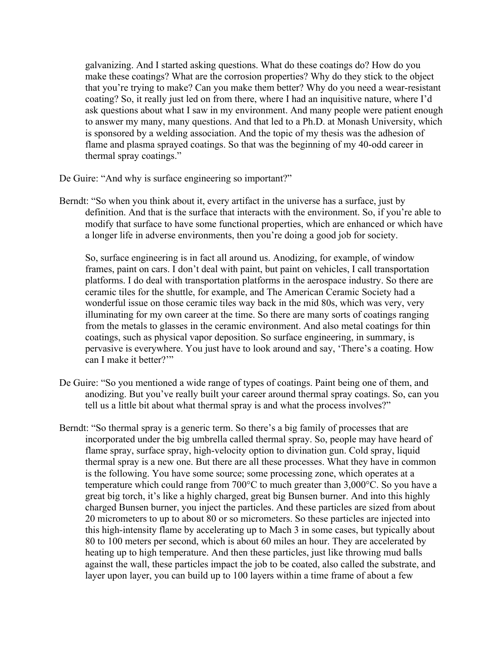galvanizing. And I started asking questions. What do these coatings do? How do you make these coatings? What are the corrosion properties? Why do they stick to the object that you're trying to make? Can you make them better? Why do you need a wear-resistant coating? So, it really just led on from there, where I had an inquisitive nature, where I'd ask questions about what I saw in my environment. And many people were patient enough to answer my many, many questions. And that led to a Ph.D. at Monash University, which is sponsored by a welding association. And the topic of my thesis was the adhesion of flame and plasma sprayed coatings. So that was the beginning of my 40-odd career in thermal spray coatings."

De Guire: "And why is surface engineering so important?"

Berndt: "So when you think about it, every artifact in the universe has a surface, just by definition. And that is the surface that interacts with the environment. So, if you're able to modify that surface to have some functional properties, which are enhanced or which have a longer life in adverse environments, then you're doing a good job for society.

So, surface engineering is in fact all around us. Anodizing, for example, of window frames, paint on cars. I don't deal with paint, but paint on vehicles, I call transportation platforms. I do deal with transportation platforms in the aerospace industry. So there are ceramic tiles for the shuttle, for example, and The American Ceramic Society had a wonderful issue on those ceramic tiles way back in the mid 80s, which was very, very illuminating for my own career at the time. So there are many sorts of coatings ranging from the metals to glasses in the ceramic environment. And also metal coatings for thin coatings, such as physical vapor deposition. So surface engineering, in summary, is pervasive is everywhere. You just have to look around and say, 'There's a coating. How can I make it better?'"

- De Guire: "So you mentioned a wide range of types of coatings. Paint being one of them, and anodizing. But you've really built your career around thermal spray coatings. So, can you tell us a little bit about what thermal spray is and what the process involves?"
- Berndt: "So thermal spray is a generic term. So there's a big family of processes that are incorporated under the big umbrella called thermal spray. So, people may have heard of flame spray, surface spray, high-velocity option to divination gun. Cold spray, liquid thermal spray is a new one. But there are all these processes. What they have in common is the following. You have some source; some processing zone, which operates at a temperature which could range from 700°C to much greater than 3,000°C. So you have a great big torch, it's like a highly charged, great big Bunsen burner. And into this highly charged Bunsen burner, you inject the particles. And these particles are sized from about 20 micrometers to up to about 80 or so micrometers. So these particles are injected into this high-intensity flame by accelerating up to Mach 3 in some cases, but typically about 80 to 100 meters per second, which is about 60 miles an hour. They are accelerated by heating up to high temperature. And then these particles, just like throwing mud balls against the wall, these particles impact the job to be coated, also called the substrate, and layer upon layer, you can build up to 100 layers within a time frame of about a few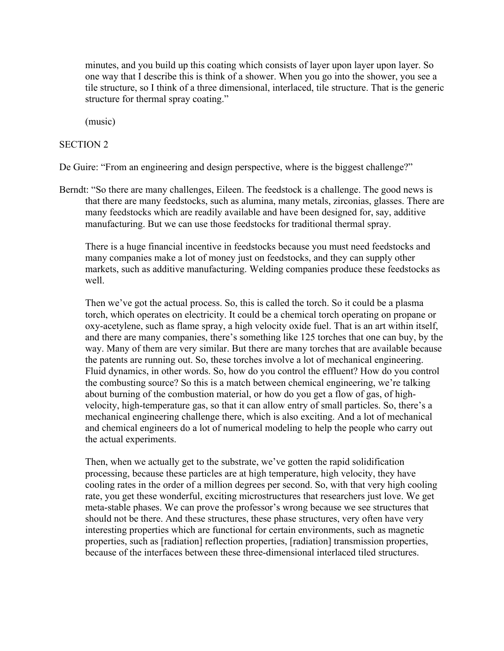minutes, and you build up this coating which consists of layer upon layer upon layer. So one way that I describe this is think of a shower. When you go into the shower, you see a tile structure, so I think of a three dimensional, interlaced, tile structure. That is the generic structure for thermal spray coating."

(music)

#### SECTION 2

De Guire: "From an engineering and design perspective, where is the biggest challenge?"

Berndt: "So there are many challenges, Eileen. The feedstock is a challenge. The good news is that there are many feedstocks, such as alumina, many metals, zirconias, glasses. There are many feedstocks which are readily available and have been designed for, say, additive manufacturing. But we can use those feedstocks for traditional thermal spray.

 There is a huge financial incentive in feedstocks because you must need feedstocks and many companies make a lot of money just on feedstocks, and they can supply other markets, such as additive manufacturing. Welding companies produce these feedstocks as well.

Then we've got the actual process. So, this is called the torch. So it could be a plasma torch, which operates on electricity. It could be a chemical torch operating on propane or oxy-acetylene, such as flame spray, a high velocity oxide fuel. That is an art within itself, and there are many companies, there's something like 125 torches that one can buy, by the way. Many of them are very similar. But there are many torches that are available because the patents are running out. So, these torches involve a lot of mechanical engineering. Fluid dynamics, in other words. So, how do you control the effluent? How do you control the combusting source? So this is a match between chemical engineering, we're talking about burning of the combustion material, or how do you get a flow of gas, of highvelocity, high-temperature gas, so that it can allow entry of small particles. So, there's a mechanical engineering challenge there, which is also exciting. And a lot of mechanical and chemical engineers do a lot of numerical modeling to help the people who carry out the actual experiments.

Then, when we actually get to the substrate, we've gotten the rapid solidification processing, because these particles are at high temperature, high velocity, they have cooling rates in the order of a million degrees per second. So, with that very high cooling rate, you get these wonderful, exciting microstructures that researchers just love. We get meta-stable phases. We can prove the professor's wrong because we see structures that should not be there. And these structures, these phase structures, very often have very interesting properties which are functional for certain environments, such as magnetic properties, such as [radiation] reflection properties, [radiation] transmission properties, because of the interfaces between these three-dimensional interlaced tiled structures.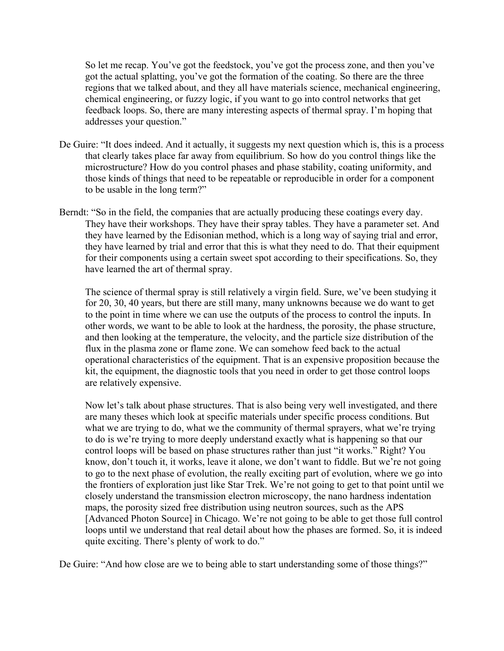So let me recap. You've got the feedstock, you've got the process zone, and then you've got the actual splatting, you've got the formation of the coating. So there are the three regions that we talked about, and they all have materials science, mechanical engineering, chemical engineering, or fuzzy logic, if you want to go into control networks that get feedback loops. So, there are many interesting aspects of thermal spray. I'm hoping that addresses your question."

- De Guire: "It does indeed. And it actually, it suggests my next question which is, this is a process that clearly takes place far away from equilibrium. So how do you control things like the microstructure? How do you control phases and phase stability, coating uniformity, and those kinds of things that need to be repeatable or reproducible in order for a component to be usable in the long term?"
- Berndt: "So in the field, the companies that are actually producing these coatings every day. They have their workshops. They have their spray tables. They have a parameter set. And they have learned by the Edisonian method, which is a long way of saying trial and error, they have learned by trial and error that this is what they need to do. That their equipment for their components using a certain sweet spot according to their specifications. So, they have learned the art of thermal spray.

The science of thermal spray is still relatively a virgin field. Sure, we've been studying it for 20, 30, 40 years, but there are still many, many unknowns because we do want to get to the point in time where we can use the outputs of the process to control the inputs. In other words, we want to be able to look at the hardness, the porosity, the phase structure, and then looking at the temperature, the velocity, and the particle size distribution of the flux in the plasma zone or flame zone. We can somehow feed back to the actual operational characteristics of the equipment. That is an expensive proposition because the kit, the equipment, the diagnostic tools that you need in order to get those control loops are relatively expensive.

Now let's talk about phase structures. That is also being very well investigated, and there are many theses which look at specific materials under specific process conditions. But what we are trying to do, what we the community of thermal sprayers, what we're trying to do is we're trying to more deeply understand exactly what is happening so that our control loops will be based on phase structures rather than just "it works." Right? You know, don't touch it, it works, leave it alone, we don't want to fiddle. But we're not going to go to the next phase of evolution, the really exciting part of evolution, where we go into the frontiers of exploration just like Star Trek. We're not going to get to that point until we closely understand the transmission electron microscopy, the nano hardness indentation maps, the porosity sized free distribution using neutron sources, such as the APS [Advanced Photon Source] in Chicago. We're not going to be able to get those full control loops until we understand that real detail about how the phases are formed. So, it is indeed quite exciting. There's plenty of work to do."

De Guire: "And how close are we to being able to start understanding some of those things?"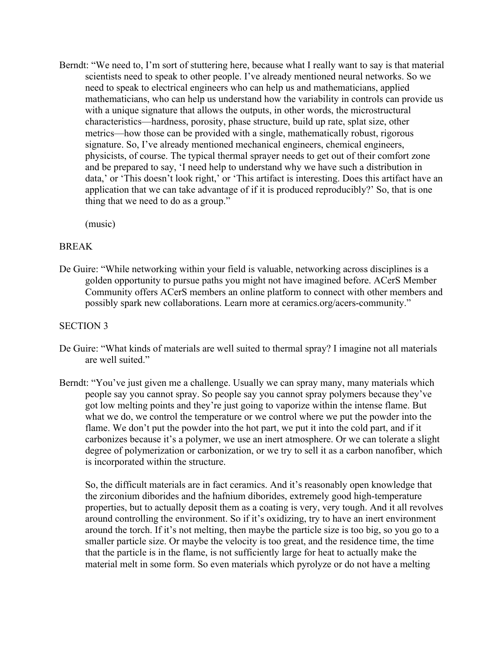Berndt: "We need to, I'm sort of stuttering here, because what I really want to say is that material scientists need to speak to other people. I've already mentioned neural networks. So we need to speak to electrical engineers who can help us and mathematicians, applied mathematicians, who can help us understand how the variability in controls can provide us with a unique signature that allows the outputs, in other words, the microstructural characteristics—hardness, porosity, phase structure, build up rate, splat size, other metrics—how those can be provided with a single, mathematically robust, rigorous signature. So, I've already mentioned mechanical engineers, chemical engineers, physicists, of course. The typical thermal sprayer needs to get out of their comfort zone and be prepared to say, 'I need help to understand why we have such a distribution in data,' or 'This doesn't look right,' or 'This artifact is interesting. Does this artifact have an application that we can take advantage of if it is produced reproducibly?' So, that is one thing that we need to do as a group."

(music)

## BREAK

De Guire: "While networking within your field is valuable, networking across disciplines is a golden opportunity to pursue paths you might not have imagined before. ACerS Member Community offers ACerS members an online platform to connect with other members and possibly spark new collaborations. Learn more at ceramics.org/acers-community."

### SECTION 3

- De Guire: "What kinds of materials are well suited to thermal spray? I imagine not all materials are well suited."
- Berndt: "You've just given me a challenge. Usually we can spray many, many materials which people say you cannot spray. So people say you cannot spray polymers because they've got low melting points and they're just going to vaporize within the intense flame. But what we do, we control the temperature or we control where we put the powder into the flame. We don't put the powder into the hot part, we put it into the cold part, and if it carbonizes because it's a polymer, we use an inert atmosphere. Or we can tolerate a slight degree of polymerization or carbonization, or we try to sell it as a carbon nanofiber, which is incorporated within the structure.

So, the difficult materials are in fact ceramics. And it's reasonably open knowledge that the zirconium diborides and the hafnium diborides, extremely good high-temperature properties, but to actually deposit them as a coating is very, very tough. And it all revolves around controlling the environment. So if it's oxidizing, try to have an inert environment around the torch. If it's not melting, then maybe the particle size is too big, so you go to a smaller particle size. Or maybe the velocity is too great, and the residence time, the time that the particle is in the flame, is not sufficiently large for heat to actually make the material melt in some form. So even materials which pyrolyze or do not have a melting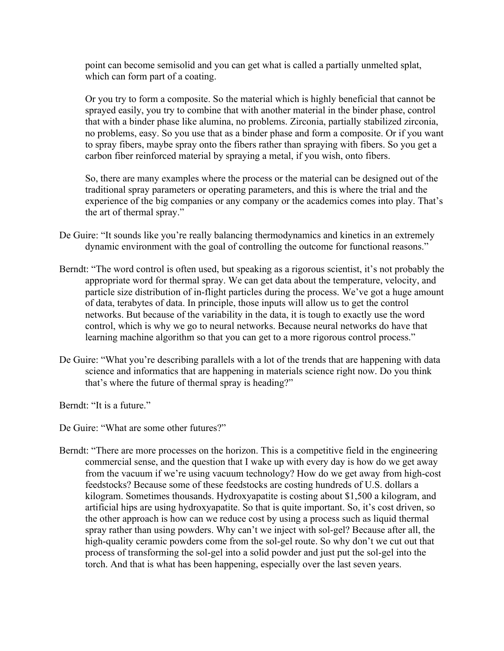point can become semisolid and you can get what is called a partially unmelted splat, which can form part of a coating.

Or you try to form a composite. So the material which is highly beneficial that cannot be sprayed easily, you try to combine that with another material in the binder phase, control that with a binder phase like alumina, no problems. Zirconia, partially stabilized zirconia, no problems, easy. So you use that as a binder phase and form a composite. Or if you want to spray fibers, maybe spray onto the fibers rather than spraying with fibers. So you get a carbon fiber reinforced material by spraying a metal, if you wish, onto fibers.

So, there are many examples where the process or the material can be designed out of the traditional spray parameters or operating parameters, and this is where the trial and the experience of the big companies or any company or the academics comes into play. That's the art of thermal spray."

- De Guire: "It sounds like you're really balancing thermodynamics and kinetics in an extremely dynamic environment with the goal of controlling the outcome for functional reasons."
- Berndt: "The word control is often used, but speaking as a rigorous scientist, it's not probably the appropriate word for thermal spray. We can get data about the temperature, velocity, and particle size distribution of in-flight particles during the process. We've got a huge amount of data, terabytes of data. In principle, those inputs will allow us to get the control networks. But because of the variability in the data, it is tough to exactly use the word control, which is why we go to neural networks. Because neural networks do have that learning machine algorithm so that you can get to a more rigorous control process."
- De Guire: "What you're describing parallels with a lot of the trends that are happening with data science and informatics that are happening in materials science right now. Do you think that's where the future of thermal spray is heading?"

Berndt: "It is a future."

De Guire: "What are some other futures?"

Berndt: "There are more processes on the horizon. This is a competitive field in the engineering commercial sense, and the question that I wake up with every day is how do we get away from the vacuum if we're using vacuum technology? How do we get away from high-cost feedstocks? Because some of these feedstocks are costing hundreds of U.S. dollars a kilogram. Sometimes thousands. Hydroxyapatite is costing about \$1,500 a kilogram, and artificial hips are using hydroxyapatite. So that is quite important. So, it's cost driven, so the other approach is how can we reduce cost by using a process such as liquid thermal spray rather than using powders. Why can't we inject with sol-gel? Because after all, the high-quality ceramic powders come from the sol-gel route. So why don't we cut out that process of transforming the sol-gel into a solid powder and just put the sol-gel into the torch. And that is what has been happening, especially over the last seven years.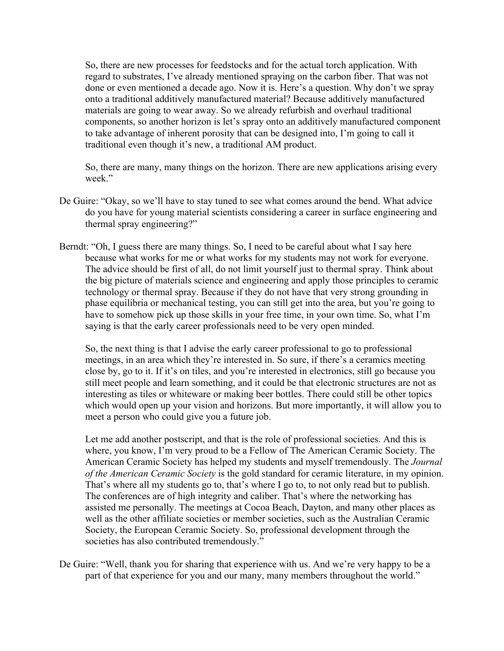So, there are new processes for feedstocks and for the actual torch application. With regard to substrates, I've already mentioned spraying on the carbon fiber. That was not done or even mentioned a decade ago. Now it is. Here's a question. Why don't we spray onto a traditional additively manufactured material? Because additively manufactured materials are going to wear away. So we already refurbish and overhaul traditional components, so another horizon is let's spray onto an additively manufactured component to take advantage of inherent porosity that can be designed into, I'm going to call it traditional even though it's new, a traditional AM product.

So, there are many, many things on the horizon. There are new applications arising every week."

- De Guire: "Okay, so we'll have to stay tuned to see what comes around the bend. What advice do you have for young material scientists considering a career in surface engineering and thermal spray engineering?"
- Berndt: "Oh, I guess there are many things. So, I need to be careful about what I say here because what works for me or what works for my students may not work for everyone. The advice should be first of all, do not limit yourself just to thermal spray. Think about the big picture of materials science and engineering and apply those principles to ceramic technology or thermal spray. Because if they do not have that very strong grounding in phase equilibria or mechanical testing, you can still get into the area, but you're going to have to somehow pick up those skills in your free time, in your own time. So, what I'm saying is that the early career professionals need to be very open minded.

So, the next thing is that I advise the early career professional to go to professional meetings, in an area which they're interested in. So sure, if there's a ceramics meeting close by, go to it. If it's on tiles, and you're interested in electronics, still go because you still meet people and learn something, and it could be that electronic structures are not as interesting as tiles or whiteware or making beer bottles. There could still be other topics which would open up your vision and horizons. But more importantly, it will allow you to meet a person who could give you a future job.

Let me add another postscript, and that is the role of professional societies. And this is where, you know, I'm very proud to be a Fellow of The American Ceramic Society. The American Ceramic Society has helped my students and myself tremendously. The *Journal of the American Ceramic Society* is the gold standard for ceramic literature, in my opinion. That's where all my students go to, that's where I go to, to not only read but to publish. The conferences are of high integrity and caliber. That's where the networking has assisted me personally. The meetings at Cocoa Beach, Dayton, and many other places as well as the other affiliate societies or member societies, such as the Australian Ceramic Society, the European Ceramic Society. So, professional development through the societies has also contributed tremendously."

De Guire: "Well, thank you for sharing that experience with us. And we're very happy to be a part of that experience for you and our many, many members throughout the world."